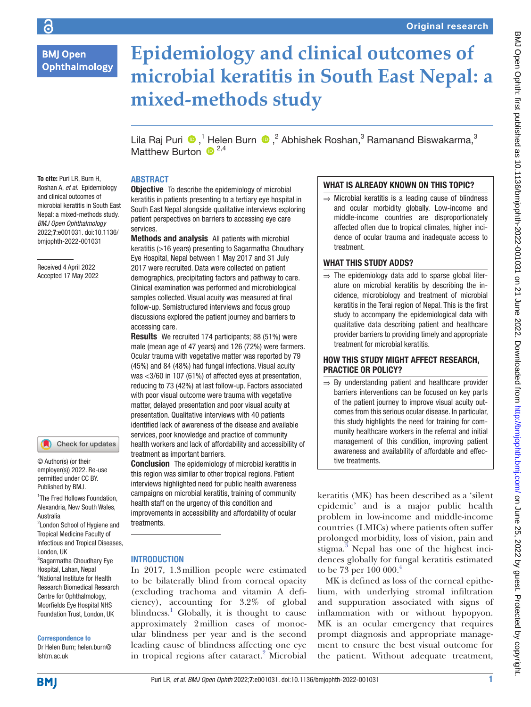# **BMJ Open Ophthalmology**

# **Epidemiology and clinical outcomes of microbial keratitis in South East Nepal: a mixed-methods study**

LilaRaj Puri <sup>®</sup>,<sup>1</sup> Helen Burn ®,<sup>2</sup> Abhishek Roshan,<sup>3</sup> Ramanand Biswakarma,<sup>3</sup> Matthew Burton  $\mathbb{R}^{2,4}$ 

# ABSTRACT

To cite: Puri LR, Burn H, Roshan A, *et al*. Epidemiology and clinical outcomes of microbial keratitis in South East Nepal: a mixed-methods study. *BMJ Open Ophthalmology* 2022;7:e001031. doi:10.1136/ bmjophth-2022-001031

Received 4 April 2022 Accepted 17 May 2022

## Check for updates

© Author(s) (or their employer(s)) 2022. Re-use permitted under CC BY. Published by BMJ.

1 The Fred Hollows Foundation, Alexandria, New South Wales, Australia

<sup>2</sup> London School of Hygiene and Tropical Medicine Faculty of Infectious and Tropical Diseases,

London, UK <sup>3</sup>Sagarmatha Choudhary Eye Hospital, Lahan, Nepal 4 National Institute for Health Research Biomedical Research Centre for Ophthalmology, Moorfields Eye Hospital NHS Foundation Trust, London, UK

Correspondence to

Dr Helen Burn; helen.burn@ lshtm.ac.uk

## **Objective** To describe the epidemiology of microbial keratitis in patients presenting to a tertiary eye hospital in South East Nepal alongside qualitative interviews exploring patient perspectives on barriers to accessing eye care services.

Methods and analysis All patients with microbial keratitis (>16 years) presenting to Sagarmatha Choudhary Eye Hospital, Nepal between 1 May 2017 and 31 July 2017 were recruited. Data were collected on patient demographics, precipitating factors and pathway to care. Clinical examination was performed and microbiological samples collected. Visual acuity was measured at final follow-up. Semistructured interviews and focus group discussions explored the patient journey and barriers to accessing care.

Results We recruited 174 participants; 88 (51%) were male (mean age of 47 years) and 126 (72%) were farmers. Ocular trauma with vegetative matter was reported by 79 (45%) and 84 (48%) had fungal infections. Visual acuity was <3/60 in 107 (61%) of affected eyes at presentation, reducing to 73 (42%) at last follow-up. Factors associated with poor visual outcome were trauma with vegetative matter, delayed presentation and poor visual acuity at presentation. Qualitative interviews with 40 patients identified lack of awareness of the disease and available services, poor knowledge and practice of community health workers and lack of affordability and accessibility of treatment as important barriers.

**Conclusion** The epidemiology of microbial keratitis in this region was similar to other tropical regions. Patient interviews highlighted need for public health awareness campaigns on microbial keratitis, training of community health staff on the urgency of this condition and improvements in accessibility and affordability of ocular treatments.

## INTRODUCTION

In 2017, 1.3million people were estimated to be bilaterally blind from corneal opacity (excluding trachoma and vitamin A deficiency), accounting for 3.2% of global blindness.<sup>1</sup> Globally, it is thought to cause approximately 2million cases of monocular blindness per year and is the second leading cause of blindness affecting one eye in tropical regions after cataract.<sup>2</sup> Microbial

# WHAT IS ALREADY KNOWN ON THIS TOPIC?

 $\Rightarrow$  Microbial keratitis is a leading cause of blindness and ocular morbidity globally. Low-income and middle-income countries are disproportionately affected often due to tropical climates, higher incidence of ocular trauma and inadequate access to treatment.

# WHAT THIS STUDY ADDS?

 $\Rightarrow$  The epidemiology data add to sparse global literature on microbial keratitis by describing the incidence, microbiology and treatment of microbial keratitis in the Terai region of Nepal. This is the first study to accompany the epidemiological data with qualitative data describing patient and healthcare provider barriers to providing timely and appropriate treatment for microbial keratitis.

## HOW THIS STUDY MIGHT AFFECT RESEARCH, PRACTICE OR POLICY?

 $\Rightarrow$  By understanding patient and healthcare provider barriers interventions can be focused on key parts of the patient journey to improve visual acuity outcomes from this serious ocular disease. In particular, this study highlights the need for training for community healthcare workers in the referral and initial management of this condition, improving patient awareness and availability of affordable and effective treatments.

keratitis (MK) has been described as a 'silent epidemic' and is a major public health problem in low-income and middle-income countries (LMICs) where patients often suffer prolonged morbidity, loss of vision, pain and stigma. $\frac{3}{3}$  Nepal has one of the highest incidences globally for fungal keratitis estimated to be 73 per 100 000.<sup>4</sup>

MK is defined as loss of the corneal epithelium, with underlying stromal infiltration and suppuration associated with signs of inflammation with or without hypopyon. MK is an ocular emergency that requires prompt diagnosis and appropriate management to ensure the best visual outcome for the patient. Without adequate treatment,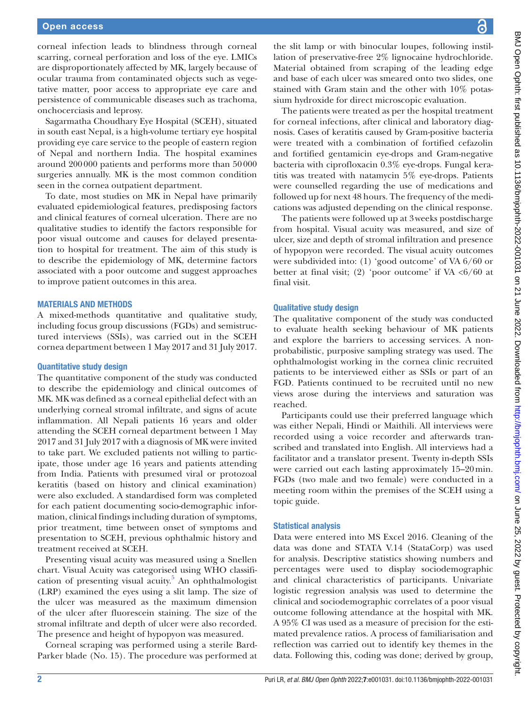corneal infection leads to blindness through corneal scarring, corneal perforation and loss of the eye. LMICs are disproportionately affected by MK, largely because of ocular trauma from contaminated objects such as vegetative matter, poor access to appropriate eye care and persistence of communicable diseases such as trachoma, onchocerciasis and leprosy.

Sagarmatha Choudhary Eye Hospital (SCEH), situated in south east Nepal, is a high-volume tertiary eye hospital providing eye care service to the people of eastern region of Nepal and northern India. The hospital examines around 200000 patients and performs more than 50000 surgeries annually. MK is the most common condition seen in the cornea outpatient department.

To date, most studies on MK in Nepal have primarily evaluated epidemiological features, predisposing factors and clinical features of corneal ulceration. There are no qualitative studies to identify the factors responsible for poor visual outcome and causes for delayed presentation to hospital for treatment. The aim of this study is to describe the epidemiology of MK, determine factors associated with a poor outcome and suggest approaches to improve patient outcomes in this area.

#### MATERIALS AND METHODS

A mixed-methods quantitative and qualitative study, including focus group discussions (FGDs) and semistructured interviews (SSIs), was carried out in the SCEH cornea department between 1 May 2017 and 31 July 2017.

#### Quantitative study design

The quantitative component of the study was conducted to describe the epidemiology and clinical outcomes of MK. MK was defined as a corneal epithelial defect with an underlying corneal stromal infiltrate, and signs of acute inflammation. All Nepali patients 16 years and older attending the SCEH corneal department between 1 May 2017 and 31 July 2017 with a diagnosis of MK were invited to take part. We excluded patients not willing to participate, those under age 16 years and patients attending from India. Patients with presumed viral or protozoal keratitis (based on history and clinical examination) were also excluded. A standardised form was completed for each patient documenting socio-demographic information, clinical findings including duration of symptoms, prior treatment, time between onset of symptoms and presentation to SCEH, previous ophthalmic history and treatment received at SCEH.

Presenting visual acuity was measured using a Snellen chart. Visual Acuity was categorised using WHO classification of presenting visual acuity.<sup>5</sup> An ophthalmologist (LRP) examined the eyes using a slit lamp. The size of the ulcer was measured as the maximum dimension of the ulcer after fluorescein staining. The size of the stromal infiltrate and depth of ulcer were also recorded. The presence and height of hypopyon was measured.

Corneal scraping was performed using a sterile Bard-Parker blade (No. 15). The procedure was performed at the slit lamp or with binocular loupes, following instillation of preservative-free 2% lignocaine hydrochloride. Material obtained from scraping of the leading edge and base of each ulcer was smeared onto two slides, one stained with Gram stain and the other with 10% potassium hydroxide for direct microscopic evaluation.

The patients were treated as per the hospital treatment for corneal infections, after clinical and laboratory diagnosis. Cases of keratitis caused by Gram-positive bacteria were treated with a combination of fortified cefazolin and fortified gentamicin eye-drops and Gram-negative bacteria with ciprofloxacin 0.3% eye-drops. Fungal keratitis was treated with natamycin 5% eye-drops. Patients were counselled regarding the use of medications and followed up for next 48 hours. The frequency of the medications was adjusted depending on the clinical response.

The patients were followed up at 3weeks postdischarge from hospital. Visual acuity was measured, and size of ulcer, size and depth of stromal infiltration and presence of hypopyon were recorded. The visual acuity outcomes were subdivided into: (1) 'good outcome' of VA 6/60 or better at final visit; (2) 'poor outcome' if VA  $\langle 6/60 \rangle$  at final visit.

#### Qualitative study design

The qualitative component of the study was conducted to evaluate health seeking behaviour of MK patients and explore the barriers to accessing services. A nonprobabilistic, purposive sampling strategy was used. The ophthalmologist working in the cornea clinic recruited patients to be interviewed either as SSIs or part of an FGD. Patients continued to be recruited until no new views arose during the interviews and saturation was reached.

Participants could use their preferred language which was either Nepali, Hindi or Maithili. All interviews were recorded using a voice recorder and afterwards transcribed and translated into English. All interviews had a facilitator and a translator present. Twenty in-depth SSIs were carried out each lasting approximately 15–20min. FGDs (two male and two female) were conducted in a meeting room within the premises of the SCEH using a topic guide.

#### Statistical analysis

Data were entered into MS Excel 2016. Cleaning of the data was done and STATA V.14 (StataCorp) was used for analysis. Descriptive statistics showing numbers and percentages were used to display sociodemographic and clinical characteristics of participants. Univariate logistic regression analysis was used to determine the clinical and sociodemographic correlates of a poor visual outcome following attendance at the hospital with MK. A 95% CI was used as a measure of precision for the estimated prevalence ratios. A process of familiarisation and reflection was carried out to identify key themes in the data. Following this, coding was done; derived by group,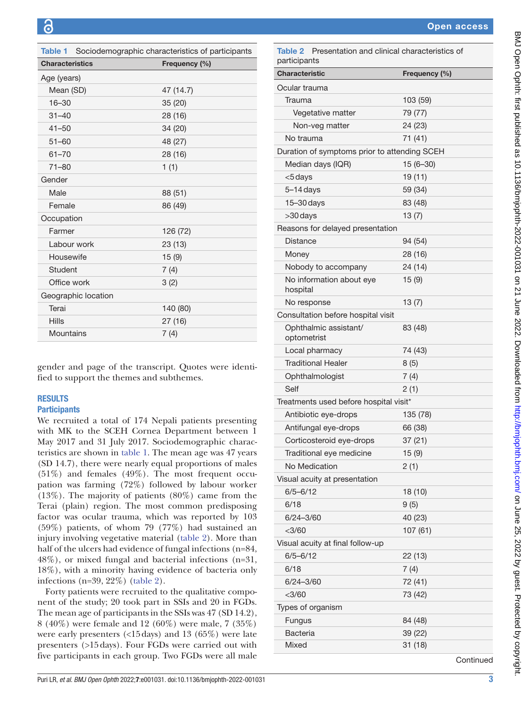<span id="page-2-0"></span>

| Table 1<br>Sociodemographic characteristics of participants |               |  |  |  |  |
|-------------------------------------------------------------|---------------|--|--|--|--|
| <b>Characteristics</b>                                      | Frequency (%) |  |  |  |  |
| Age (years)                                                 |               |  |  |  |  |
| Mean (SD)                                                   | 47 (14.7)     |  |  |  |  |
| $16 - 30$                                                   | 35 (20)       |  |  |  |  |
| $31 - 40$                                                   | 28 (16)       |  |  |  |  |
| $41 - 50$                                                   | 34 (20)       |  |  |  |  |
| $51 - 60$                                                   | 48 (27)       |  |  |  |  |
| $61 - 70$                                                   | 28 (16)       |  |  |  |  |
| $71 - 80$                                                   | 1(1)          |  |  |  |  |
| Gender                                                      |               |  |  |  |  |
| Male                                                        | 88 (51)       |  |  |  |  |
| Female                                                      | 86 (49)       |  |  |  |  |
| Occupation                                                  |               |  |  |  |  |
| Farmer                                                      | 126 (72)      |  |  |  |  |
| Labour work                                                 | 23 (13)       |  |  |  |  |
| Housewife                                                   | 15(9)         |  |  |  |  |
| Student                                                     | 7(4)          |  |  |  |  |
| Office work                                                 | 3(2)          |  |  |  |  |
| Geographic location                                         |               |  |  |  |  |
| Terai                                                       | 140 (80)      |  |  |  |  |
| <b>Hills</b>                                                | 27 (16)       |  |  |  |  |
| Mountains                                                   | 7(4)          |  |  |  |  |

gender and page of the transcript. Quotes were identified to support the themes and subthemes.

## **RESULTS**

## **Participants**

We recruited a total of 174 Nepali patients presenting with MK to the SCEH Cornea Department between 1 May 2017 and 31 July 2017. Sociodemographic characteristics are shown in [table](#page-2-0) 1. The mean age was 47 years (SD 14.7), there were nearly equal proportions of males (51%) and females (49%). The most frequent occupation was farming (72%) followed by labour worker (13%). The majority of patients (80%) came from the Terai (plain) region. The most common predisposing factor was ocular trauma, which was reported by 103 (59%) patients, of whom 79 (77%) had sustained an injury involving vegetative material [\(table](#page-2-1) 2). More than half of the ulcers had evidence of fungal infections (n=84, 48%), or mixed fungal and bacterial infections (n=31, 18%), with a minority having evidence of bacteria only infections (n=39, 22%) [\(table](#page-2-1) 2).

Forty patients were recruited to the qualitative component of the study; 20 took part in SSIs and 20 in FGDs. The mean age of participants in the SSIs was 47 (SD 14.2), 8 (40%) were female and 12 (60%) were male, 7 (35%) were early presenters (<15days) and 13 (65%) were late presenters (>15days). Four FGDs were carried out with five participants in each group. Two FGDs were all male

| <b>Characteristic</b>                        | Frequency (%) |  |
|----------------------------------------------|---------------|--|
| Ocular trauma                                |               |  |
| Trauma                                       | 103 (59)      |  |
| Vegetative matter                            | 79 (77)       |  |
| Non-veg matter                               | 24 (23)       |  |
| No trauma                                    | 71 (41)       |  |
| Duration of symptoms prior to attending SCEH |               |  |
| Median days (IQR)                            | $15(6-30)$    |  |
| <5 days                                      | 19 (11)       |  |
| $5-14$ days                                  | 59 (34)       |  |
| $15 - 30$ days                               | 83 (48)       |  |
| $>30$ days                                   | 13(7)         |  |
| Reasons for delayed presentation             |               |  |
| <b>Distance</b>                              | 94 (54)       |  |
| Money                                        | 28 (16)       |  |
| Nobody to accompany                          | 24 (14)       |  |
| No information about eye<br>hospital         | 15(9)         |  |
| No response                                  | 13(7)         |  |
| Consultation before hospital visit           |               |  |
| Ophthalmic assistant/<br>optometrist         | 83 (48)       |  |
| Local pharmacy                               | 74 (43)       |  |
| <b>Traditional Healer</b>                    | 8(5)          |  |
| Ophthalmologist                              | 7(4)          |  |
| Self                                         | 2(1)          |  |
| Treatments used before hospital visit*       |               |  |
| Antibiotic eye-drops                         | 135 (78)      |  |
| Antifungal eye-drops                         | 66 (38)       |  |
| Corticosteroid eye-drops                     | 37(21)        |  |
| Traditional eye medicine                     | 15 (9)        |  |
| No Medication                                | 2(1)          |  |
| Visual acuity at presentation                |               |  |
| $6/5 - 6/12$                                 | 18 (10)       |  |
| 6/18                                         | 9(5)          |  |
| $6/24 - 3/60$                                | 40 (23)       |  |
| $<$ 3/60                                     | 107 (61)      |  |
| Visual acuity at final follow-up             |               |  |
| $6/5 - 6/12$                                 | 22 (13)       |  |
| 6/18                                         | 7(4)          |  |
| 6/24-3/60                                    | 72 (41)       |  |
| $<$ 3/60                                     | 73 (42)       |  |
| Types of organism                            |               |  |
| Fungus                                       | 84 (48)       |  |
| <b>Bacteria</b>                              | 39 (22)       |  |
| Mixed                                        | 31(18)        |  |
|                                              | Continued     |  |

<span id="page-2-1"></span>Table 2 Presentation and clinical characteristics of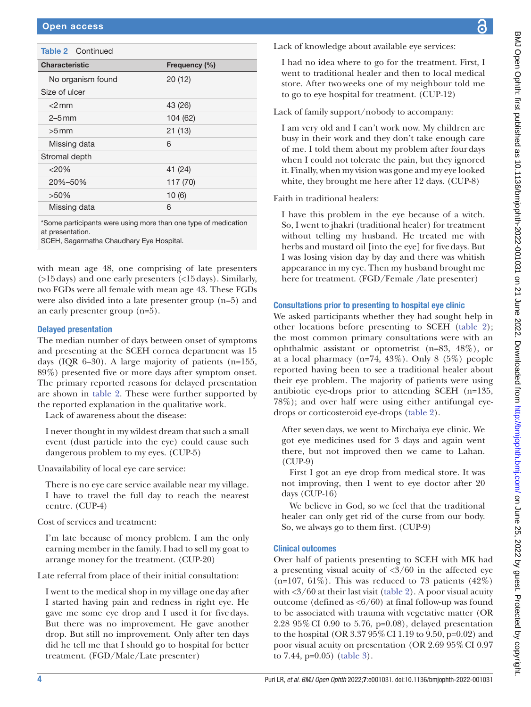| <b>Table 2</b> Continued |               |
|--------------------------|---------------|
| <b>Characteristic</b>    | Frequency (%) |
| No organism found        | 20(12)        |
| Size of ulcer            |               |
| $<$ 2 mm                 | 43 (26)       |
| $2-5$ mm                 | 104 (62)      |
| $>5$ mm                  | 21(13)        |
| Missing data             | 6             |
| Stromal depth            |               |
| $<$ 20%                  | 41 (24)       |
| 20%-50%                  | 117 (70)      |
| $>50\%$                  | 10(6)         |
| Missing data             | 6             |
|                          |               |

\*Some participants were using more than one type of medication at presentation.

SCEH, Sagarmatha Chaudhary Eye Hospital.

with mean age 48, one comprising of late presenters (>15days) and one early presenters (<15days). Similarly, two FGDs were all female with mean age 43. These FGDs were also divided into a late presenter group (n=5) and an early presenter group (n=5).

## Delayed presentation

The median number of days between onset of symptoms and presenting at the SCEH cornea department was 15 days (IQR 6–30). A large majority of patients (n=155, 89%) presented five or more days after symptom onset. The primary reported reasons for delayed presentation are shown in [table](#page-2-1) 2. These were further supported by the reported explanation in the qualitative work.

Lack of awareness about the disease:

I never thought in my wildest dream that such a small event (dust particle into the eye) could cause such dangerous problem to my eyes. (CUP-5)

Unavailability of local eye care service:

There is no eye care service available near my village. I have to travel the full day to reach the nearest centre. (CUP-4)

Cost of services and treatment:

I'm late because of money problem. I am the only earning member in the family. I had to sell my goat to arrange money for the treatment. (CUP-20)

Late referral from place of their initial consultation:

I went to the medical shop in my village oneday after I started having pain and redness in right eye. He gave me some eye drop and I used it for fivedays. But there was no improvement. He gave another drop. But still no improvement. Only after ten days did he tell me that I should go to hospital for better treatment. (FGD/Male/Late presenter)

Lack of knowledge about available eye services:

I had no idea where to go for the treatment. First, I went to traditional healer and then to local medical store. After twoweeks one of my neighbour told me to go to eye hospital for treatment. (CUP-12)

Lack of family support/nobody to accompany:

I am very old and I can't work now. My children are busy in their work and they don't take enough care of me. I told them about my problem after fourdays when I could not tolerate the pain, but they ignored it. Finally, when my vision was gone and my eye looked white, they brought me here after 12 days. (CUP-8)

Faith in traditional healers:

I have this problem in the eye because of a witch. So, I went to jhakri (traditional healer) for treatment without telling my husband. He treated me with herbs and mustard oil [into the eye] for fivedays. But I was losing vision day by day and there was whitish appearance in my eye. Then my husband brought me here for treatment. (FGD/Female /late presenter)

## Consultations prior to presenting to hospital eye clinic

We asked participants whether they had sought help in other locations before presenting to SCEH ([table](#page-2-1) 2); the most common primary consultations were with an ophthalmic assistant or optometrist (n=83, 48%), or at a local pharmacy ( $n=74$ , 43%). Only 8 (5%) people reported having been to see a traditional healer about their eye problem. The majority of patients were using antibiotic eye-drops prior to attending SCEH (n=135, 78%); and over half were using either antifungal eyedrops or corticosteroid eye-drops ([table](#page-2-1) 2).

After sevendays, we went to Mirchaiya eye clinic. We got eye medicines used for 3 days and again went there, but not improved then we came to Lahan. (CUP-9)

First I got an eye drop from medical store. It was not improving, then I went to eye doctor after 20 days (CUP-16)

We believe in God, so we feel that the traditional healer can only get rid of the curse from our body. So, we always go to them first. (CUP-9)

## Clinical outcomes

Over half of patients presenting to SCEH with MK had a presenting visual acuity of  $\langle 3/60 \rangle$  in the affected eye  $(n=107, 61\%)$ . This was reduced to 73 patients  $(42\%)$ with <3/60 at their last visit ([table](#page-2-1) 2). A poor visual acuity outcome (defined as  $\langle 6/60 \rangle$  at final follow-up was found to be associated with trauma with vegetative matter (OR 2.28 95%CI 0.90 to 5.76, p=0.08), delayed presentation to the hospital (OR 3.37 95%CI 1.19 to 9.50, p=0.02) and poor visual acuity on presentation (OR 2.69 95%CI 0.97 to 7.44, p=0.05) [\(table](#page-4-0) 3).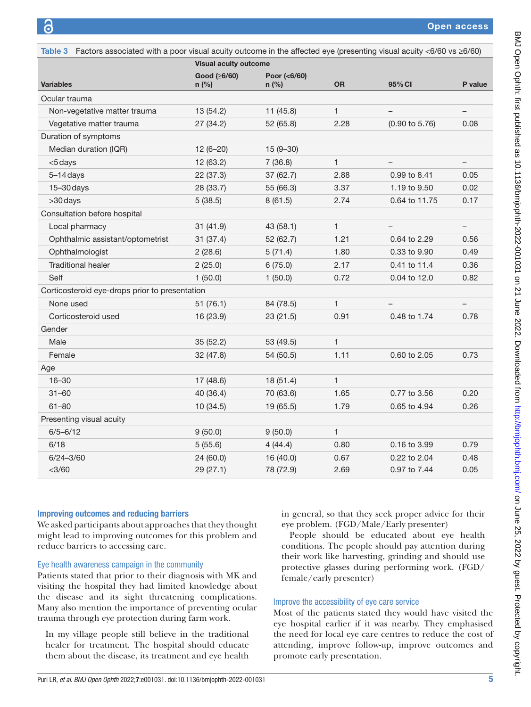<span id="page-4-0"></span>

|                                                |              | <b>Visual acuity outcome</b> |              |                           |                   |
|------------------------------------------------|--------------|------------------------------|--------------|---------------------------|-------------------|
|                                                | Good (≥6/60) | Poor (<6/60)                 |              |                           |                   |
| <b>Variables</b>                               | $n$ (%)      | $n$ (%)                      | <b>OR</b>    | 95% CI                    | P value           |
| Ocular trauma                                  |              |                              |              |                           |                   |
| Non-vegetative matter trauma                   | 13(54.2)     | 11(45.8)                     | 1            |                           | $\qquad \qquad -$ |
| Vegetative matter trauma                       | 27 (34.2)    | 52 (65.8)                    | 2.28         | $(0.90 \text{ to } 5.76)$ | 0.08              |
| Duration of symptoms                           |              |                              |              |                           |                   |
| Median duration (IQR)                          | $12(6-20)$   | $15(9-30)$                   |              |                           |                   |
| <5 days                                        | 12(63.2)     | 7(36.8)                      | 1            | -                         | $\qquad \qquad -$ |
| $5-14$ days                                    | 22 (37.3)    | 37 (62.7)                    | 2.88         | 0.99 to 8.41              | 0.05              |
| $15 - 30$ days                                 | 28 (33.7)    | 55 (66.3)                    | 3.37         | 1.19 to 9.50              | 0.02              |
| >30 days                                       | 5(38.5)      | 8(61.5)                      | 2.74         | 0.64 to 11.75             | 0.17              |
| Consultation before hospital                   |              |                              |              |                           |                   |
| Local pharmacy                                 | 31(41.9)     | 43 (58.1)                    | 1            |                           | $\qquad \qquad -$ |
| Ophthalmic assistant/optometrist               | 31(37.4)     | 52 (62.7)                    | 1.21         | 0.64 to 2.29              | 0.56              |
| Ophthalmologist                                | 2(28.6)      | 5(71.4)                      | 1.80         | 0.33 to 9.90              | 0.49              |
| <b>Traditional healer</b>                      | 2(25.0)      | 6(75.0)                      | 2.17         | 0.41 to 11.4              | 0.36              |
| Self                                           | 1(50.0)      | 1(50.0)                      | 0.72         | 0.04 to 12.0              | 0.82              |
| Corticosteroid eye-drops prior to presentation |              |                              |              |                           |                   |
| None used                                      | 51(76.1)     | 84 (78.5)                    | 1            |                           |                   |
| Corticosteroid used                            | 16 (23.9)    | 23 (21.5)                    | 0.91         | 0.48 to 1.74              | 0.78              |
| Gender                                         |              |                              |              |                           |                   |
| Male                                           | 35(52.2)     | 53 (49.5)                    | 1            |                           |                   |
| Female                                         | 32 (47.8)    | 54 (50.5)                    | 1.11         | 0.60 to 2.05              | 0.73              |
| Age                                            |              |                              |              |                           |                   |
| $16 - 30$                                      | 17 (48.6)    | 18(51.4)                     | $\mathbf{1}$ |                           |                   |
| $31 - 60$                                      | 40 (36.4)    | 70 (63.6)                    | 1.65         | 0.77 to 3.56              | 0.20              |
| $61 - 80$                                      | 10 (34.5)    | 19 (65.5)                    | 1.79         | 0.65 to 4.94              | 0.26              |
| Presenting visual acuity                       |              |                              |              |                           |                   |
| $6/5 - 6/12$                                   | 9(50.0)      | 9(50.0)                      | $\mathbf{1}$ |                           |                   |
| 6/18                                           | 5(55.6)      | 4(44.4)                      | 0.80         | 0.16 to 3.99              | 0.79              |
| $6/24 - 3/60$                                  | 24 (60.0)    | 16 (40.0)                    | 0.67         | 0.22 to 2.04              | 0.48              |
| $<$ 3/60                                       | 29 (27.1)    | 78 (72.9)                    | 2.69         | 0.97 to 7.44              | 0.05              |

#### Improving outcomes and reducing barriers

We asked participants about approaches that they thought might lead to improving outcomes for this problem and reduce barriers to accessing care.

#### Eye health awareness campaign in the community

Patients stated that prior to their diagnosis with MK and visiting the hospital they had limited knowledge about the disease and its sight threatening complications. Many also mention the importance of preventing ocular trauma through eye protection during farm work.

In my village people still believe in the traditional healer for treatment. The hospital should educate them about the disease, its treatment and eye health in general, so that they seek proper advice for their eye problem. (FGD/Male/Early presenter)

People should be educated about eye health conditions. The people should pay attention during their work like harvesting, grinding and should use protective glasses during performing work. (FGD/ female/early presenter)

## Improve the accessibility of eye care service

Most of the patients stated they would have visited the eye hospital earlier if it was nearby. They emphasised the need for local eye care centres to reduce the cost of attending, improve follow-up, improve outcomes and promote early presentation.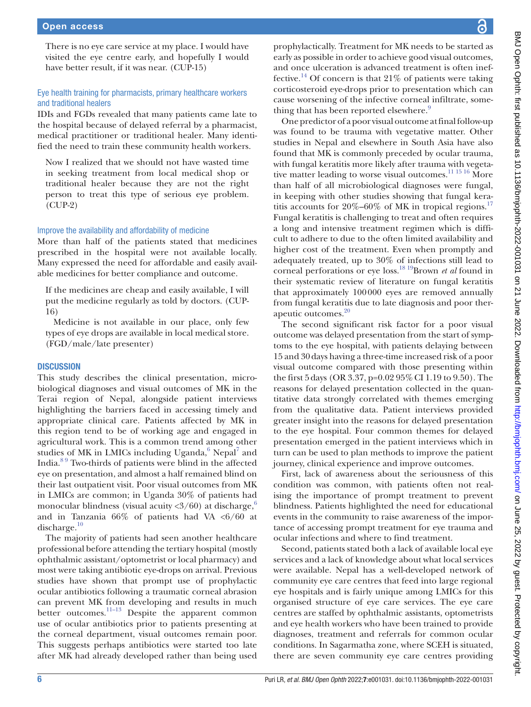There is no eye care service at my place. I would have visited the eye centre early, and hopefully I would have better result, if it was near. (CUP-15)

#### Eye health training for pharmacists, primary healthcare workers and traditional healers

IDIs and FGDs revealed that many patients came late to the hospital because of delayed referral by a pharmacist, medical practitioner or traditional healer. Many identified the need to train these community health workers.

Now I realized that we should not have wasted time in seeking treatment from local medical shop or traditional healer because they are not the right person to treat this type of serious eye problem. (CUP-2)

#### Improve the availability and affordability of medicine

More than half of the patients stated that medicines prescribed in the hospital were not available locally. Many expressed the need for affordable and easily available medicines for better compliance and outcome.

If the medicines are cheap and easily available, I will put the medicine regularly as told by doctors. (CUP-16)

Medicine is not available in our place, only few types of eye drops are available in local medical store. (FGD/male/late presenter)

#### **DISCUSSION**

This study describes the clinical presentation, microbiological diagnoses and visual outcomes of MK in the Terai region of Nepal, alongside patient interviews highlighting the barriers faced in accessing timely and appropriate clinical care. Patients affected by MK in this region tend to be of working age and engaged in agricultural work. This is a common trend among other studies of MK in LMICs including Uganda,<sup>6</sup> Nepal<sup>7</sup> and India.[8 9](#page-7-0) Two-thirds of patients were blind in the affected eye on presentation, and almost a half remained blind on their last outpatient visit. Poor visual outcomes from MK in LMICs are common; in Uganda 30% of patients had monocular blindness (visual acuity  $\langle 3/60 \rangle$  $\langle 3/60 \rangle$  $\langle 3/60 \rangle$  at discharge,<sup>6</sup> and in Tanzania  $66\%$  of patients had VA <6/60 at discharge. $10$ 

The majority of patients had seen another healthcare professional before attending the tertiary hospital (mostly ophthalmic assistant/optometrist or local pharmacy) and most were taking antibiotic eye-drops on arrival. Previous studies have shown that prompt use of prophylactic ocular antibiotics following a traumatic corneal abrasion can prevent MK from developing and results in much better outcomes. $\frac{11-13}{11-13}$  Despite the apparent common use of ocular antibiotics prior to patients presenting at the corneal department, visual outcomes remain poor. This suggests perhaps antibiotics were started too late after MK had already developed rather than being used

prophylactically. Treatment for MK needs to be started as early as possible in order to achieve good visual outcomes, and once ulceration is advanced treatment is often ineffective.<sup>14</sup> Of concern is that 21% of patients were taking corticosteroid eye-drops prior to presentation which can cause worsening of the infective corneal infiltrate, something that has been reported elsewhere.<sup>9</sup>

One predictor of a poor visual outcome at final follow-up was found to be trauma with vegetative matter. Other studies in Nepal and elsewhere in South Asia have also found that MK is commonly preceded by ocular trauma, with fungal keratitis more likely after trauma with vegeta-tive matter leading to worse visual outcomes.<sup>[11 15 16](#page-7-3)</sup> More than half of all microbiological diagnoses were fungal, in keeping with other studies showing that fungal keratitis accounts for  $20\% - 60\%$  of MK in tropical regions.<sup>[17](#page-7-6)</sup> Fungal keratitis is challenging to treat and often requires a long and intensive treatment regimen which is difficult to adhere to due to the often limited availability and higher cost of the treatment. Even when promptly and adequately treated, up to 30% of infections still lead to corneal perforations or eye loss.[18 19B](#page-7-7)rown *et al* found in their systematic review of literature on fungal keratitis that approximately 100000 eyes are removed annually from fungal keratitis due to late diagnosis and poor therapeutic outcomes.<sup>20</sup>

The second significant risk factor for a poor visual outcome was delayed presentation from the start of symptoms to the eye hospital, with patients delaying between 15 and 30days having a three-time increased risk of a poor visual outcome compared with those presenting within the first 5days (OR 3.37, p=0.02 95%CI 1.19 to 9.50). The reasons for delayed presentation collected in the quantitative data strongly correlated with themes emerging from the qualitative data. Patient interviews provided greater insight into the reasons for delayed presentation to the eye hospital. Four common themes for delayed presentation emerged in the patient interviews which in turn can be used to plan methods to improve the patient journey, clinical experience and improve outcomes.

First, lack of awareness about the seriousness of this condition was common, with patients often not realising the importance of prompt treatment to prevent blindness. Patients highlighted the need for educational events in the community to raise awareness of the importance of accessing prompt treatment for eye trauma and ocular infections and where to find treatment.

Second, patients stated both a lack of available local eye services and a lack of knowledge about what local services were available. Nepal has a well-developed network of community eye care centres that feed into large regional eye hospitals and is fairly unique among LMICs for this organised structure of eye care services. The eye care centres are staffed by ophthalmic assistants, optometrists and eye health workers who have been trained to provide diagnoses, treatment and referrals for common ocular conditions. In Sagarmatha zone, where SCEH is situated, there are seven community eye care centres providing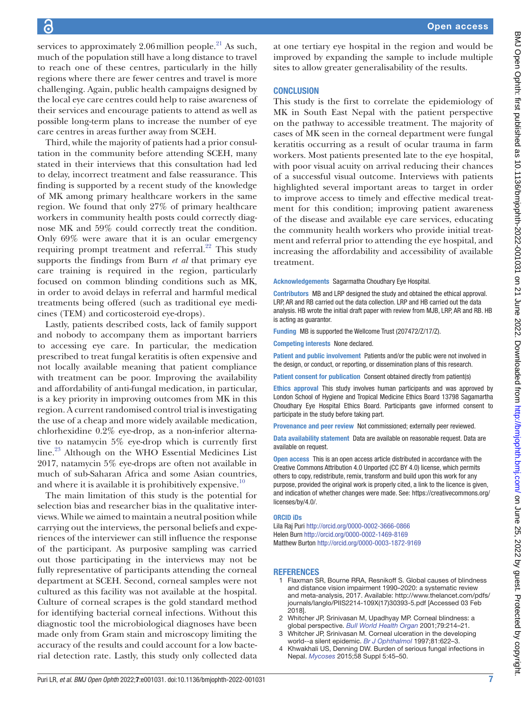services to approximately 2.06 million people.<sup>21</sup> As such, much of the population still have a long distance to travel to reach one of these centres, particularly in the hilly regions where there are fewer centres and travel is more challenging. Again, public health campaigns designed by the local eye care centres could help to raise awareness of their services and encourage patients to attend as well as possible long-term plans to increase the number of eye care centres in areas further away from SCEH.

Third, while the majority of patients had a prior consultation in the community before attending SCEH, many stated in their interviews that this consultation had led to delay, incorrect treatment and false reassurance. This finding is supported by a recent study of the knowledge of MK among primary healthcare workers in the same region. We found that only 27% of primary healthcare workers in community health posts could correctly diagnose MK and 59% could correctly treat the condition. Only 69% were aware that it is an ocular emergency requiring prompt treatment and referral.<sup>[22](#page-7-10)</sup> This study supports the findings from Burn *et al* that primary eye care training is required in the region, particularly focused on common blinding conditions such as MK, in order to avoid delays in referral and harmful medical treatments being offered (such as traditional eye medicines (TEM) and corticosteroid eye-drops).

Lastly, patients described costs, lack of family support and nobody to accompany them as important barriers to accessing eye care. In particular, the medication prescribed to treat fungal keratitis is often expensive and not locally available meaning that patient compliance with treatment can be poor. Improving the availability and affordability of anti-fungal medication, in particular, is a key priority in improving outcomes from MK in this region. A current randomised control trial is investigating the use of a cheap and more widely available medication, chlorhexidine 0.2% eye-drop, as a non-inferior alternative to natamycin 5% eye-drop which is currently first line[.23](#page-7-11) Although on the WHO Essential Medicines List 2017, natamycin 5% eye-drops are often not available in much of sub-Saharan Africa and some Asian countries, and where it is available it is prohibitively expensive.<sup>10</sup>

The main limitation of this study is the potential for selection bias and researcher bias in the qualitative interviews. While we aimed to maintain a neutral position while carrying out the interviews, the personal beliefs and experiences of the interviewer can still influence the response of the participant. As purposive sampling was carried out those participating in the interviews may not be fully representative of participants attending the corneal department at SCEH. Second, corneal samples were not cultured as this facility was not available at the hospital. Culture of corneal scrapes is the gold standard method for identifying bacterial corneal infections. Without this diagnostic tool the microbiological diagnoses have been made only from Gram stain and microscopy limiting the accuracy of the results and could account for a low bacterial detection rate. Lastly, this study only collected data at one tertiary eye hospital in the region and would be improved by expanding the sample to include multiple sites to allow greater generalisability of the results.

## **CONCLUSION**

This study is the first to correlate the epidemiology of MK in South East Nepal with the patient perspective on the pathway to accessible treatment. The majority of cases of MK seen in the corneal department were fungal keratitis occurring as a result of ocular trauma in farm workers. Most patients presented late to the eye hospital, with poor visual acuity on arrival reducing their chances of a successful visual outcome. Interviews with patients highlighted several important areas to target in order to improve access to timely and effective medical treatment for this condition; improving patient awareness of the disease and available eye care services, educating the community health workers who provide initial treatment and referral prior to attending the eye hospital, and increasing the affordability and accessibility of available treatment.

Acknowledgements Sagarmatha Choudhary Eye Hospital.

Contributors MB and LRP designed the study and obtained the ethical approval. LRP, AR and RB carried out the data collection. LRP and HB carried out the data analysis. HB wrote the initial draft paper with review from MJB, LRP, AR and RB. HB is acting as guarantor.

Funding MB is supported the Wellcome Trust (207472/Z/17/Z).

Competing interests None declared.

Patient and public involvement Patients and/or the public were not involved in the design, or conduct, or reporting, or dissemination plans of this research.

Patient consent for publication Consent obtained directly from patient(s)

Ethics approval This study involves human participants and was approved by London School of Hygiene and Tropical Medicine Ethics Board 13798 Sagamartha Choudhary Eye Hospital Ethics Board. Participants gave informed consent to participate in the study before taking part.

Provenance and peer review Not commissioned; externally peer reviewed.

Data availability statement Data are available on reasonable request. Data are available on request.

**Open access** This is an open access article distributed in accordance with the Creative Commons Attribution 4.0 Unported (CC BY 4.0) license, which permits others to copy, redistribute, remix, transform and build upon this work for any purpose, provided the original work is properly cited, a link to the licence is given, and indication of whether changes were made. See: [https://creativecommons.org/](https://creativecommons.org/licenses/by/4.0/) [licenses/by/4.0/](https://creativecommons.org/licenses/by/4.0/).

#### ORCID iDs

Lila Raj Puri <http://orcid.org/0000-0002-3666-0866> Helen Burn<http://orcid.org/0000-0002-1469-8169> Matthew Burton<http://orcid.org/0000-0003-1872-9169>

#### REFERENCES

- 1 Flaxman SR, Bourne RRA, Resnikoff S. Global causes of blindness and distance vision impairment 1990–2020: a systematic review and meta-analysis, 2017. Available: [http://www.thelancet.com/pdfs/](http://www.thelancet.com/pdfs/journals/langlo/PIIS2214-109X(17)30393-5.pdf) [journals/langlo/PIIS2214-109X\(17\)30393-5.pdf](http://www.thelancet.com/pdfs/journals/langlo/PIIS2214-109X(17)30393-5.pdf) [Accessed 03 Feb 2018].
- 2 Whitcher JP, Srinivasan M, Upadhyay MP. Corneal blindness: a global perspective. *[Bull World Health Organ](http://www.ncbi.nlm.nih.gov/pubmed/11285665)* 2001;79:214–21.
- 3 Whitcher JP, Srinivasan M. Corneal ulceration in the developing world--a silent epidemic. *[Br J Ophthalmol](http://dx.doi.org/10.1136/bjo.81.8.622)* 1997;81:622–3.
- 4 Khwakhali US, Denning DW. Burden of serious fungal infections in Nepal. *[Mycoses](http://dx.doi.org/10.1111/myc.12393)* 2015;58 Suppl 5:45–50.